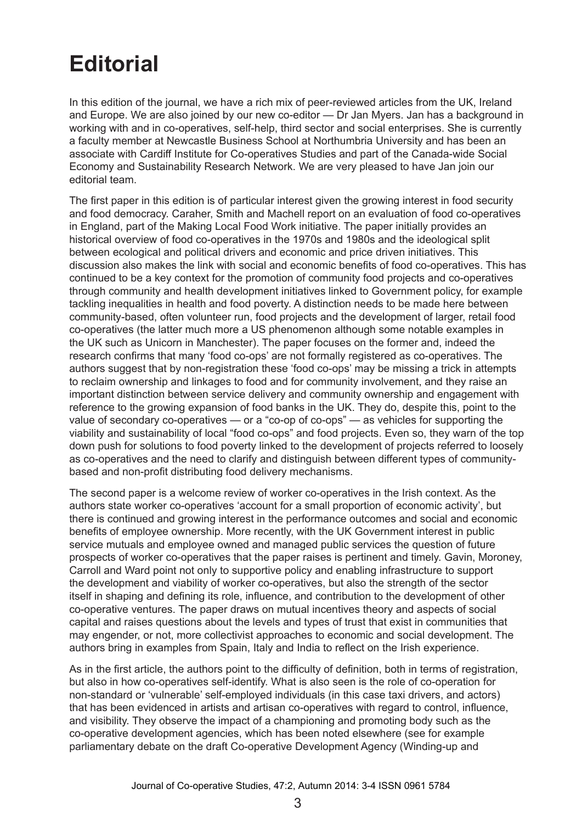## **Editorial**

In this edition of the journal, we have a rich mix of peer-reviewed articles from the UK, Ireland and Europe. We are also joined by our new co-editor — Dr Jan Myers. Jan has a background in working with and in co-operatives, self-help, third sector and social enterprises. She is currently a faculty member at Newcastle Business School at Northumbria University and has been an associate with Cardiff Institute for Co-operatives Studies and part of the Canada-wide Social Economy and Sustainability Research Network. We are very pleased to have Jan join our editorial team.

The first paper in this edition is of particular interest given the growing interest in food security and food democracy. Caraher, Smith and Machell report on an evaluation of food co-operatives in England, part of the Making Local Food Work initiative. The paper initially provides an historical overview of food co-operatives in the 1970s and 1980s and the ideological split between ecological and political drivers and economic and price driven initiatives. This discussion also makes the link with social and economic benefits of food co-operatives. This has continued to be a key context for the promotion of community food projects and co-operatives through community and health development initiatives linked to Government policy, for example tackling inequalities in health and food poverty. A distinction needs to be made here between community-based, often volunteer run, food projects and the development of larger, retail food co-operatives (the latter much more a US phenomenon although some notable examples in the UK such as Unicorn in Manchester). The paper focuses on the former and, indeed the research confirms that many 'food co-ops' are not formally registered as co-operatives. The authors suggest that by non-registration these 'food co-ops' may be missing a trick in attempts to reclaim ownership and linkages to food and for community involvement, and they raise an important distinction between service delivery and community ownership and engagement with reference to the growing expansion of food banks in the UK. They do, despite this, point to the value of secondary co-operatives — or a "co-op of co-ops" — as vehicles for supporting the viability and sustainability of local "food co-ops" and food projects. Even so, they warn of the top down push for solutions to food poverty linked to the development of projects referred to loosely as co-operatives and the need to clarify and distinguish between different types of communitybased and non-profit distributing food delivery mechanisms.

The second paper is a welcome review of worker co-operatives in the Irish context. As the authors state worker co-operatives 'account for a small proportion of economic activity', but there is continued and growing interest in the performance outcomes and social and economic benefits of employee ownership. More recently, with the UK Government interest in public service mutuals and employee owned and managed public services the question of future prospects of worker co-operatives that the paper raises is pertinent and timely. Gavin, Moroney, Carroll and Ward point not only to supportive policy and enabling infrastructure to support the development and viability of worker co-operatives, but also the strength of the sector itself in shaping and defining its role, influence, and contribution to the development of other co-operative ventures. The paper draws on mutual incentives theory and aspects of social capital and raises questions about the levels and types of trust that exist in communities that may engender, or not, more collectivist approaches to economic and social development. The authors bring in examples from Spain, Italy and India to reflect on the Irish experience.

As in the first article, the authors point to the difficulty of definition, both in terms of registration, but also in how co-operatives self-identify. What is also seen is the role of co-operation for non-standard or 'vulnerable' self-employed individuals (in this case taxi drivers, and actors) that has been evidenced in artists and artisan co-operatives with regard to control, influence, and visibility. They observe the impact of a championing and promoting body such as the co-operative development agencies, which has been noted elsewhere (see for example parliamentary debate on the draft Co-operative Development Agency (Winding-up and